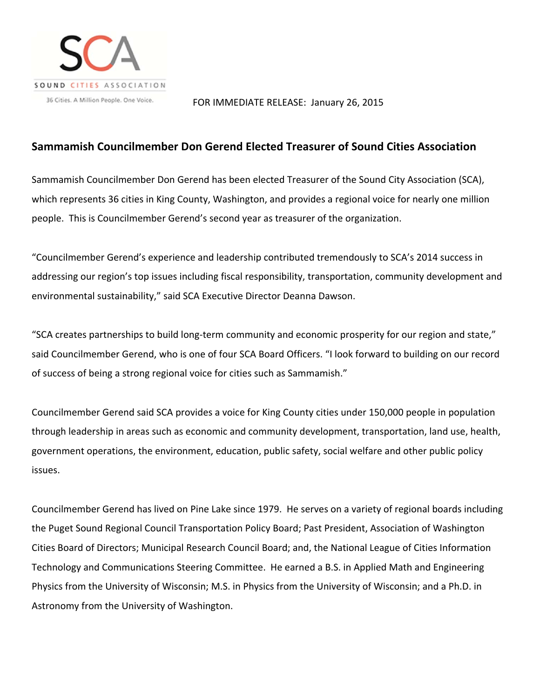

## FOR IMMEDIATE RELEASE: January 26, 2015

## **Sammamish Councilmember Don Gerend Elected Treasurer of Sound Cities Association**

Sammamish Councilmember Don Gerend has been elected Treasurer of the Sound City Association (SCA), which represents 36 cities in King County, Washington, and provides a regional voice for nearly one million people. This is Councilmember Gerend's second year as treasurer of the organization.

"Councilmember Gerend's experience and leadership contributed tremendously to SCA's 2014 success in addressing our region's top issues including fiscal responsibility, transportation, community development and environmental sustainability," said SCA Executive Director Deanna Dawson.

"SCA creates partnerships to build long‐term community and economic prosperity for our region and state," said Councilmember Gerend, who is one of four SCA Board Officers. "I look forward to building on our record of success of being a strong regional voice for cities such as Sammamish."

Councilmember Gerend said SCA provides a voice for King County cities under 150,000 people in population through leadership in areas such as economic and community development, transportation, land use, health, government operations, the environment, education, public safety, social welfare and other public policy issues.

Councilmember Gerend has lived on Pine Lake since 1979. He serves on a variety of regional boards including the Puget Sound Regional Council Transportation Policy Board; Past President, Association of Washington Cities Board of Directors; Municipal Research Council Board; and, the National League of Cities Information Technology and Communications Steering Committee. He earned a B.S. in Applied Math and Engineering Physics from the University of Wisconsin; M.S. in Physics from the University of Wisconsin; and a Ph.D. in Astronomy from the University of Washington.